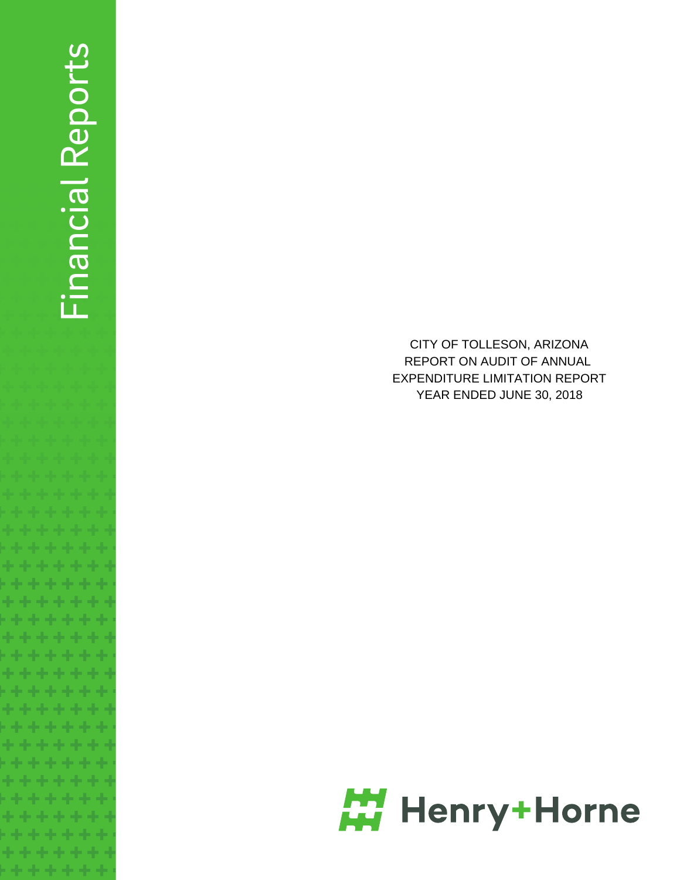# Financial Reports Financial Reports

. . .

\*\*\*\*\* . . . . . \*\*\*\*\* ..... \*\*\*\*\* . . . . . 电电子电子 ..... \*\*\*\*\* . . . . . \*\*\*\*\*\*

. . . . . . . \*\*\*\*\*\* **. . . . . . .** \*\*\*\*\*\*\* \*\*\*\*\*\*\*

CITY OF TOLLESON, ARIZONA REPORT ON AUDIT OF ANNUAL EXPENDITURE LIMITATION REPORT YEAR ENDED JUNE 30, 2018

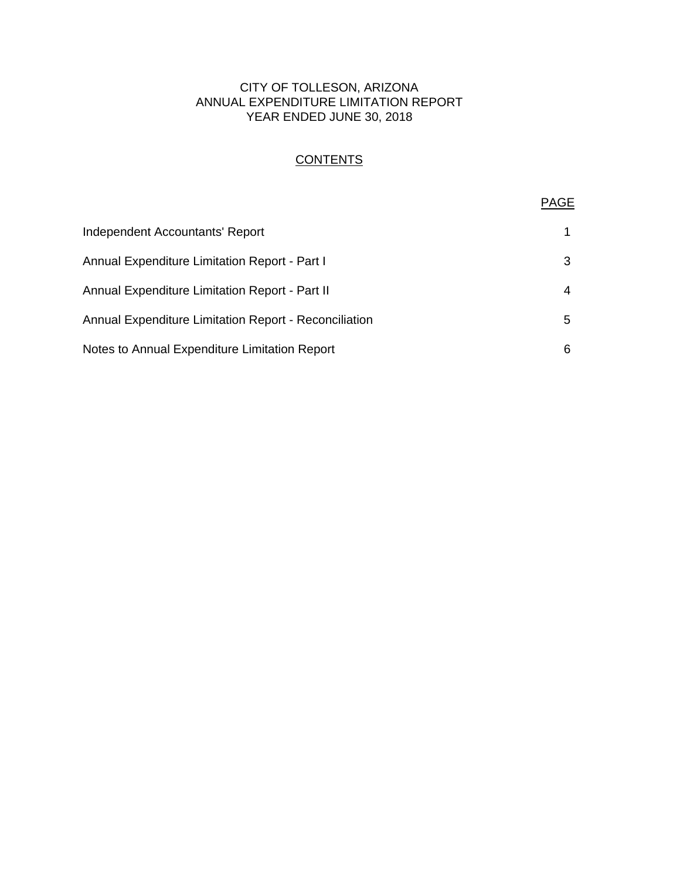# CITY OF TOLLESON, ARIZONA ANNUAL EXPENDITURE LIMITATION REPORT YEAR ENDED JUNE 30, 2018

# **CONTENTS**

# PAGE

| Independent Accountants' Report                       | 1. |
|-------------------------------------------------------|----|
| Annual Expenditure Limitation Report - Part I         | 3  |
| Annual Expenditure Limitation Report - Part II        | 4  |
| Annual Expenditure Limitation Report - Reconciliation | 5  |
| Notes to Annual Expenditure Limitation Report         | 6  |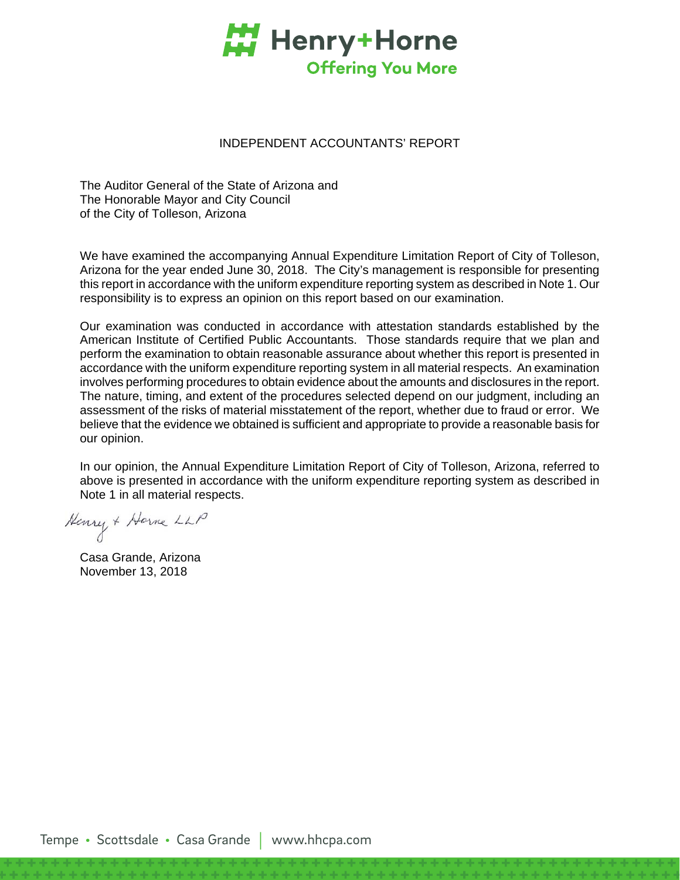

## INDEPENDENT ACCOUNTANTS' REPORT

The Auditor General of the State of Arizona and The Honorable Mayor and City Council of the City of Tolleson, Arizona

We have examined the accompanying Annual Expenditure Limitation Report of City of Tolleson, Arizona for the year ended June 30, 2018. The City's management is responsible for presenting this report in accordance with the uniform expenditure reporting system as described in Note 1. Our responsibility is to express an opinion on this report based on our examination.

Our examination was conducted in accordance with attestation standards established by the American Institute of Certified Public Accountants. Those standards require that we plan and perform the examination to obtain reasonable assurance about whether this report is presented in accordance with the uniform expenditure reporting system in all material respects. An examination involves performing procedures to obtain evidence about the amounts and disclosures in the report. The nature, timing, and extent of the procedures selected depend on our judgment, including an assessment of the risks of material misstatement of the report, whether due to fraud or error. We believe that the evidence we obtained is sufficient and appropriate to provide a reasonable basis for our opinion.

In our opinion, the Annual Expenditure Limitation Report of City of Tolleson, Arizona, referred to above is presented in accordance with the uniform expenditure reporting system as described in Note 1 in all material respects.

Henry + Horne LLP

Casa Grande, Arizona November 13, 2018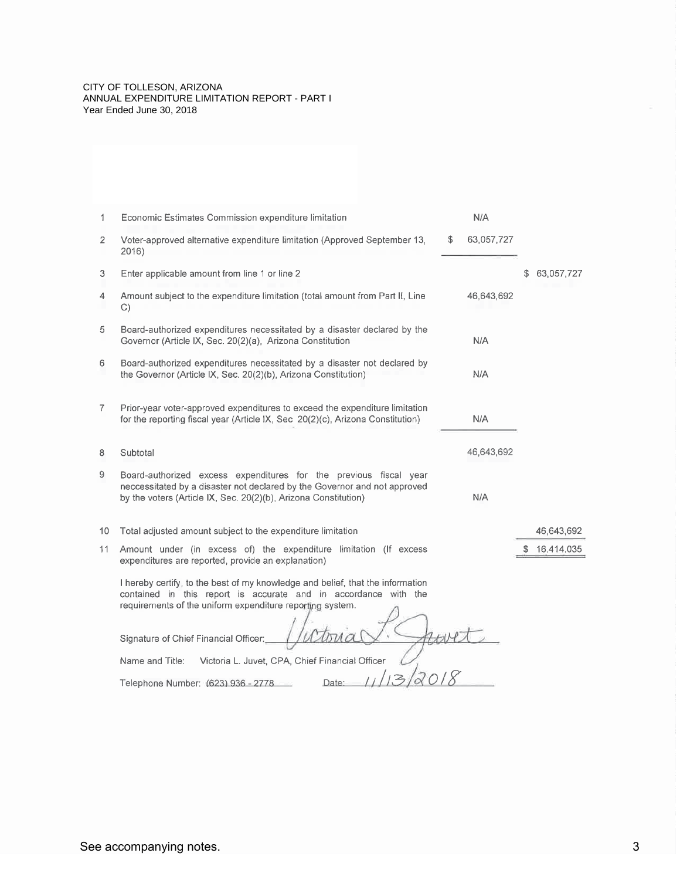#### CITY OF TOLLESON, ARIZONA ANNUAL EXPENDITURE LIMITATION REPORT - PART I Year Ended June 30, 2018

| 1.             | Economic Estimates Commission expenditure limitation                                                                                                                                                                                                    | N/A              |                  |
|----------------|---------------------------------------------------------------------------------------------------------------------------------------------------------------------------------------------------------------------------------------------------------|------------------|------------------|
| 2              | Voter-approved alternative expenditure limitation (Approved September 13,<br>2016)                                                                                                                                                                      | \$<br>63,057,727 |                  |
| 3              | Enter applicable amount from line 1 or line 2                                                                                                                                                                                                           |                  | \$<br>63,057,727 |
| 4              | Amount subject to the expenditure limitation (total amount from Part II, Line<br>$\mathbb{C}$                                                                                                                                                           | 46,643,692       |                  |
| 5              | Board-authorized expenditures necessitated by a disaster declared by the<br>Governor (Article IX, Sec. 20(2)(a), Arizona Constitution                                                                                                                   | N/A              |                  |
| 6              | Board-authorized expenditures necessitated by a disaster not declared by<br>the Governor (Article IX, Sec. 20(2)(b), Arizona Constitution)                                                                                                              | N/A              |                  |
| $\overline{7}$ | Prior-year voter-approved expenditures to exceed the expenditure limitation<br>for the reporting fiscal year (Article IX, Sec 20(2)(c), Arizona Constitution)                                                                                           | N/A              |                  |
| 8              | Subtotal                                                                                                                                                                                                                                                | 46,643,692       |                  |
| 9              | Board-authorized excess expenditures for the previous fiscal year<br>neccessitated by a disaster not declared by the Governor and not approved<br>by the voters (Article IX, Sec. 20(2)(b), Arizona Constitution)                                       | N/A              |                  |
| 10             | Total adjusted amount subject to the expenditure limitation                                                                                                                                                                                             |                  | 46,643,692       |
| 11             | Amount under (in excess of) the expenditure limitation (If excess<br>expenditures are reported, provide an explanation)                                                                                                                                 |                  | \$16,414,035     |
|                | I hereby certify, to the best of my knowledge and belief, that the information<br>contained in this report is accurate and in accordance with the<br>requirements of the uniform expenditure reporting system.<br>Signature of Chief Financial Officer: |                  |                  |
|                | Victoria L. Juvet, CPA, Chief Financial Officer<br>Name and Title:                                                                                                                                                                                      |                  |                  |
|                | 12                                                                                                                                                                                                                                                      |                  |                  |
|                | Telephone Number: (623) 936 - 2778<br>Date:                                                                                                                                                                                                             |                  |                  |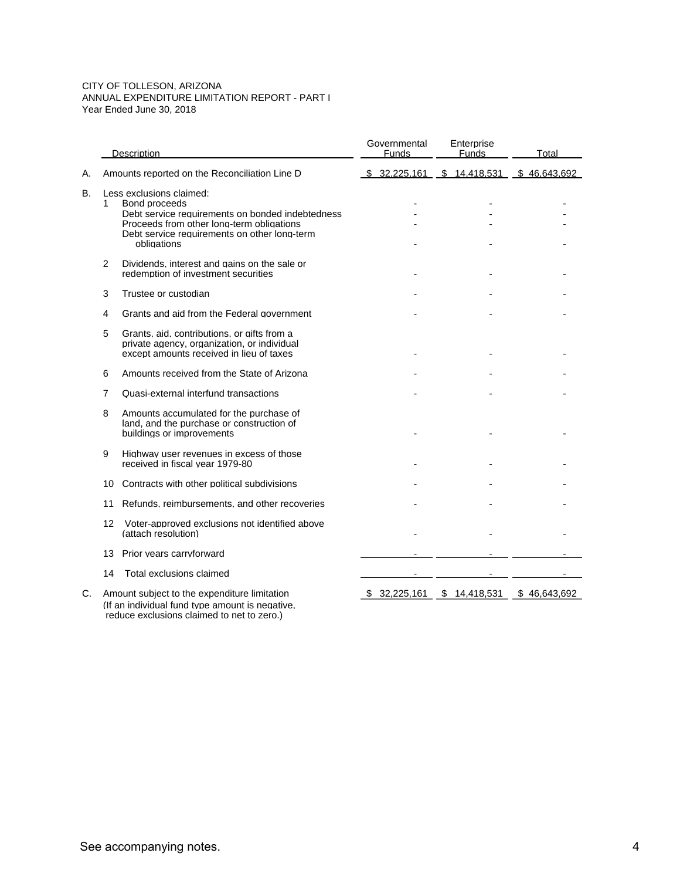#### CITY OF TOLLESON, ARIZONA ANNUAL EXPENDITURE LIMITATION REPORT - PART I Year Ended June 30, 2018

|    | Description<br>Amounts reported on the Reconciliation Line D |                                                                                                                                                                                                           | Governmental<br>Funds |                             | Enterprise<br><b>Funds</b>                |  | Total        |  |
|----|--------------------------------------------------------------|-----------------------------------------------------------------------------------------------------------------------------------------------------------------------------------------------------------|-----------------------|-----------------------------|-------------------------------------------|--|--------------|--|
| А. |                                                              |                                                                                                                                                                                                           |                       |                             | \$ 32,225,161 \$ 14,418,531 \$ 46,643,692 |  |              |  |
| B. | 1.                                                           | Less exclusions claimed:<br>Bond proceeds<br>Debt service requirements on bonded indebtedness<br>Proceeds from other long-term obligations<br>Debt service requirements on other long-term<br>obligations |                       |                             |                                           |  |              |  |
|    | 2                                                            | Dividends, interest and gains on the sale or<br>redemption of investment securities                                                                                                                       |                       |                             |                                           |  |              |  |
|    | 3                                                            | Trustee or custodian                                                                                                                                                                                      |                       |                             |                                           |  |              |  |
|    | 4                                                            | Grants and aid from the Federal government                                                                                                                                                                |                       |                             |                                           |  |              |  |
|    | 5                                                            | Grants, aid, contributions, or gifts from a<br>private agency, organization, or individual<br>except amounts received in lieu of taxes                                                                    |                       |                             |                                           |  |              |  |
|    | 6                                                            | Amounts received from the State of Arizona                                                                                                                                                                |                       |                             |                                           |  |              |  |
|    | 7                                                            | Quasi-external interfund transactions                                                                                                                                                                     |                       |                             |                                           |  |              |  |
|    | 8                                                            | Amounts accumulated for the purchase of<br>land, and the purchase or construction of<br>buildings or improvements                                                                                         |                       |                             |                                           |  |              |  |
|    | 9                                                            | Highway user revenues in excess of those<br>received in fiscal year 1979-80                                                                                                                               |                       |                             |                                           |  |              |  |
|    | 10                                                           | Contracts with other political subdivisions                                                                                                                                                               |                       |                             |                                           |  |              |  |
|    | 11                                                           | Refunds, reimbursements, and other recoveries                                                                                                                                                             |                       |                             |                                           |  |              |  |
|    | 12                                                           | Voter-approved exclusions not identified above<br>(attach resolution)                                                                                                                                     |                       |                             |                                           |  |              |  |
|    | 13                                                           | Prior years carryforward                                                                                                                                                                                  |                       |                             |                                           |  |              |  |
|    | 14                                                           | Total exclusions claimed                                                                                                                                                                                  |                       |                             |                                           |  |              |  |
| C. |                                                              | Amount subject to the expenditure limitation<br>(If an individual fund type amount is negative.                                                                                                           |                       | $$32,225,161$ $$14,418,531$ |                                           |  | \$46,643,692 |  |

reduce exclusions claimed to net to zero.)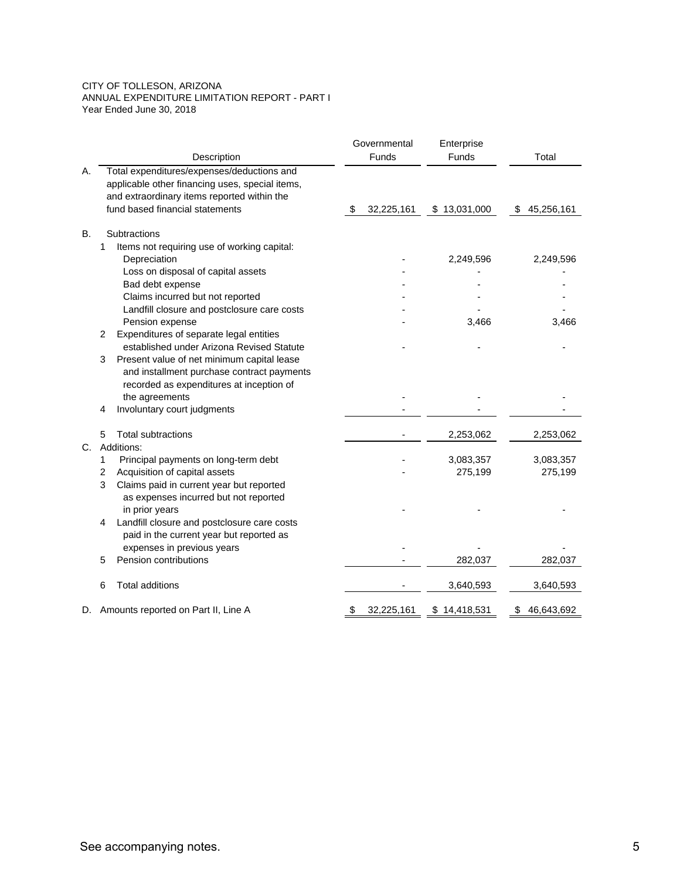#### CITY OF TOLLESON, ARIZONA ANNUAL EXPENDITURE LIMITATION REPORT - PART I Year Ended June 30, 2018

|    |                |                                                 | Governmental |            | Enterprise   |    |            |
|----|----------------|-------------------------------------------------|--------------|------------|--------------|----|------------|
|    |                | Description                                     |              | Funds      | <b>Funds</b> |    | Total      |
| Α. |                | Total expenditures/expenses/deductions and      |              |            |              |    |            |
|    |                | applicable other financing uses, special items, |              |            |              |    |            |
|    |                | and extraordinary items reported within the     |              |            |              |    |            |
|    |                | fund based financial statements                 | \$           | 32,225,161 | \$13,031,000 | \$ | 45,256,161 |
| В. | Subtractions   |                                                 |              |            |              |    |            |
|    | 1              | Items not requiring use of working capital:     |              |            |              |    |            |
|    |                | Depreciation                                    |              |            | 2,249,596    |    | 2,249,596  |
|    |                | Loss on disposal of capital assets              |              |            |              |    |            |
|    |                | Bad debt expense                                |              |            |              |    |            |
|    |                | Claims incurred but not reported                |              |            |              |    |            |
|    |                | Landfill closure and postclosure care costs     |              |            |              |    |            |
|    |                | Pension expense                                 |              |            | 3,466        |    | 3,466      |
|    | 2              | Expenditures of separate legal entities         |              |            |              |    |            |
|    |                | established under Arizona Revised Statute       |              |            |              |    |            |
|    | 3              | Present value of net minimum capital lease      |              |            |              |    |            |
|    |                | and installment purchase contract payments      |              |            |              |    |            |
|    |                | recorded as expenditures at inception of        |              |            |              |    |            |
|    |                | the agreements                                  |              |            |              |    |            |
|    | 4              | Involuntary court judgments                     |              |            |              |    |            |
|    | 5              | <b>Total subtractions</b>                       |              |            | 2,253,062    |    | 2,253,062  |
| C. | Additions:     |                                                 |              |            |              |    |            |
|    | 1              | Principal payments on long-term debt            |              |            | 3,083,357    |    | 3,083,357  |
|    | $\overline{2}$ | Acquisition of capital assets                   |              |            | 275,199      |    | 275,199    |
|    | 3              | Claims paid in current year but reported        |              |            |              |    |            |
|    |                | as expenses incurred but not reported           |              |            |              |    |            |
|    |                | in prior years                                  |              |            |              |    |            |
|    | 4              | Landfill closure and postclosure care costs     |              |            |              |    |            |
|    |                | paid in the current year but reported as        |              |            |              |    |            |
|    |                | expenses in previous years                      |              |            |              |    |            |
|    | 5              | Pension contributions                           |              |            | 282,037      |    | 282,037    |
|    | 6              | <b>Total additions</b>                          |              |            | 3,640,593    |    | 3,640,593  |
| D. |                | Amounts reported on Part II, Line A             | S            | 32,225,161 | \$14,418,531 | \$ | 46,643,692 |
|    |                |                                                 |              |            |              |    |            |